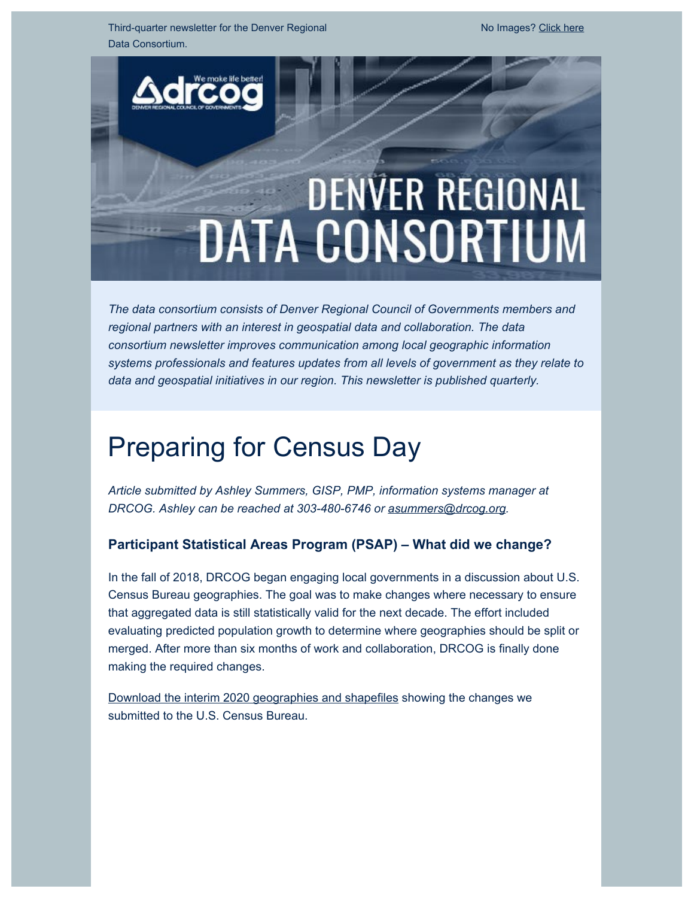Third-quarter newsletter for the Denver Regional Data Consortium.

# **DENVER REGIONAL DATA CONSORTIUM**

*The data consortium consists of Denver Regional Council of Governments members and regional partners with an interest in geospatial data and collaboration. The data consortium newsletter improves communication among local geographic information systems professionals and features updates from all levels of government as they relate to data and geospatial initiatives in our region. This newsletter is published quarterly.*

## Preparing for Census Day

*Article submitted by Ashley Summers, GISP, PMP, information systems manager at DRCOG. Ashley can be reached at 303-480-6746 or [asummers@drcog.org](mailto:asummers@drcog.org).*

#### **Participant Statistical Areas Program (PSAP) – What did we change?**

In the fall of 2018, DRCOG began engaging local governments in a discussion about U.S. Census Bureau geographies. The goal was to make changes where necessary to ensure that aggregated data is still statistically valid for the next decade. The effort included evaluating predicted population growth to determine where geographies should be split or merged. After more than six months of work and collaboration, DRCOG is finally done making the required changes.

[Download the interim 2020 geographies and shapefiles](https://drcog.createsend1.com/t/d-l-pkddihl-l-y/) showing the changes we submitted to the U.S. Census Bureau.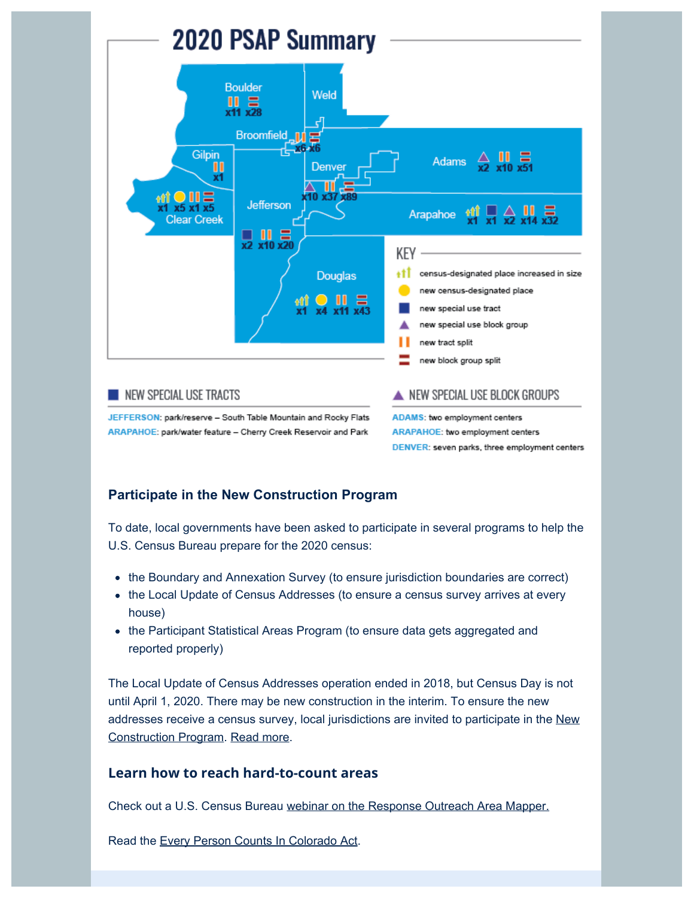

### NEW SPECIAL USE TRACTS

JEFFERSON: park/reserve - South Table Mountain and Rocky Flats ARAPAHOE: park/water feature - Cherry Creek Reservoir and Park

ADAMS: two employment centers ARAPAHOE: two employment centers DENVER: seven parks, three employment centers

#### **Participate in the New Construction Program**

To date, local governments have been asked to participate in several programs to help the U.S. Census Bureau prepare for the 2020 census:

- the Boundary and Annexation Survey (to ensure jurisdiction boundaries are correct)
- the Local Update of Census Addresses (to ensure a census survey arrives at every house)
- the Participant Statistical Areas Program (to ensure data gets aggregated and reported properly)

The Local Update of Census Addresses operation ended in 2018, but Census Day is not until April 1, 2020. There may be new construction in the interim. To ensure the new addresses receive a census survey, local jurisdictions are invited to participate in the [New](https://drcog.createsend1.com/t/d-l-pkddihl-l-j/) [Construction Program.](https://drcog.createsend1.com/t/d-l-pkddihl-l-j/) [Read more](https://drcog.createsend1.com/t/d-l-pkddihl-l-t/).

#### **Learn how to reach hard-to-count areas**

Check out a U.S. Census Bureau [webinar on the Response Outreach Area Mapper.](https://drcog.createsend1.com/t/d-l-pkddihl-l-i/)

Read the [Every Person Counts In Colorado Act](https://drcog.createsend1.com/t/d-l-pkddihl-l-d/).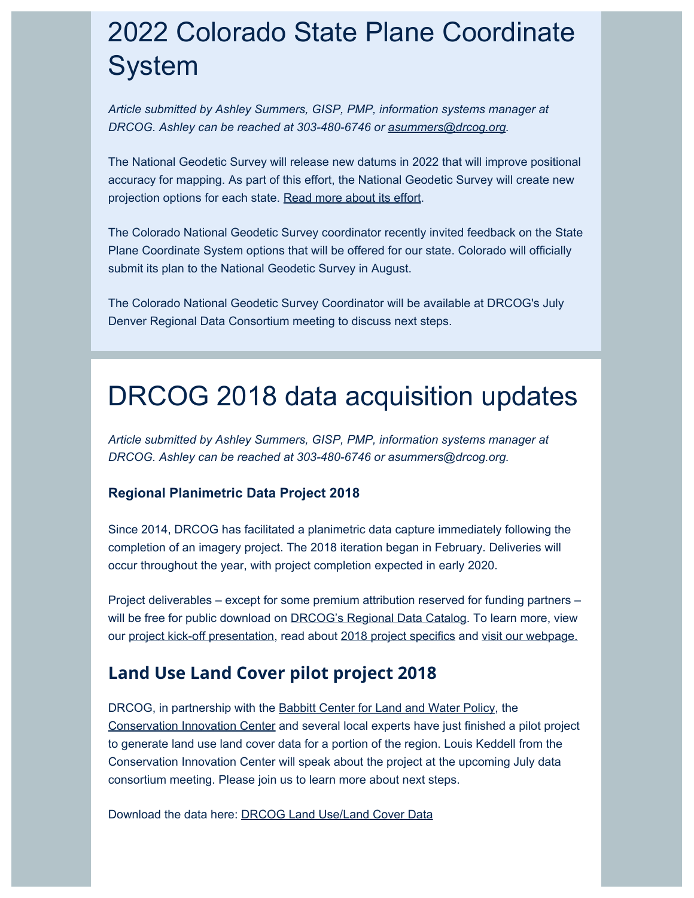## 2022 Colorado State Plane Coordinate System

*Article submitted by Ashley Summers, GISP, PMP, information systems manager at DRCOG. Ashley can be reached at 303-480-6746 or [asummers@drcog.org](mailto:asummers@drcog.org).*

The National Geodetic Survey will release new datums in 2022 that will improve positional accuracy for mapping. As part of this effort, the National Geodetic Survey will create new projection options for each state. [Read more about its effort](https://drcog.createsend1.com/t/d-l-pkddihl-l-h/).

The Colorado National Geodetic Survey coordinator recently invited feedback on the State Plane Coordinate System options that will be offered for our state. Colorado will officially submit its plan to the National Geodetic Survey in August.

The Colorado National Geodetic Survey Coordinator will be available at DRCOG's July Denver Regional Data Consortium meeting to discuss next steps.

### DRCOG 2018 data acquisition updates

*Article submitted by Ashley Summers, GISP, PMP, information systems manager at DRCOG. Ashley can be reached at 303-480-6746 or asummers@drcog.org.*

#### **Regional Planimetric Data Project 2018**

Since 2014, DRCOG has facilitated a planimetric data capture immediately following the completion of an imagery project. The 2018 iteration began in February. Deliveries will occur throughout the year, with project completion expected in early 2020.

Project deliverables – except for some premium attribution reserved for funding partners – will be free for public download on **DRCOG's Regional Data Catalog**. To learn more, view our [project kick-off presentation,](https://drcog.createsend1.com/t/d-l-pkddihl-l-u/) read about [2018 project specifics](https://drcog.createsend1.com/t/d-l-pkddihl-l-o/) and [visit our webpage.](https://drcog.createsend1.com/t/d-l-pkddihl-l-m/)

### **Land Use Land Cover pilot project 2018**

DRCOG, in partnership with the **Babbitt Center for Land and Water Policy**, the [Conservation Innovation Center](https://drcog.createsend1.com/t/d-l-pkddihl-l-q/) and several local experts have just finished a pilot project to generate land use land cover data for a portion of the region. Louis Keddell from the Conservation Innovation Center will speak about the project at the upcoming July data consortium meeting. Please join us to learn more about next steps.

Download the data here: [DRCOG Land Use/Land Cover Data](https://drcog.createsend1.com/t/d-l-pkddihl-l-a/)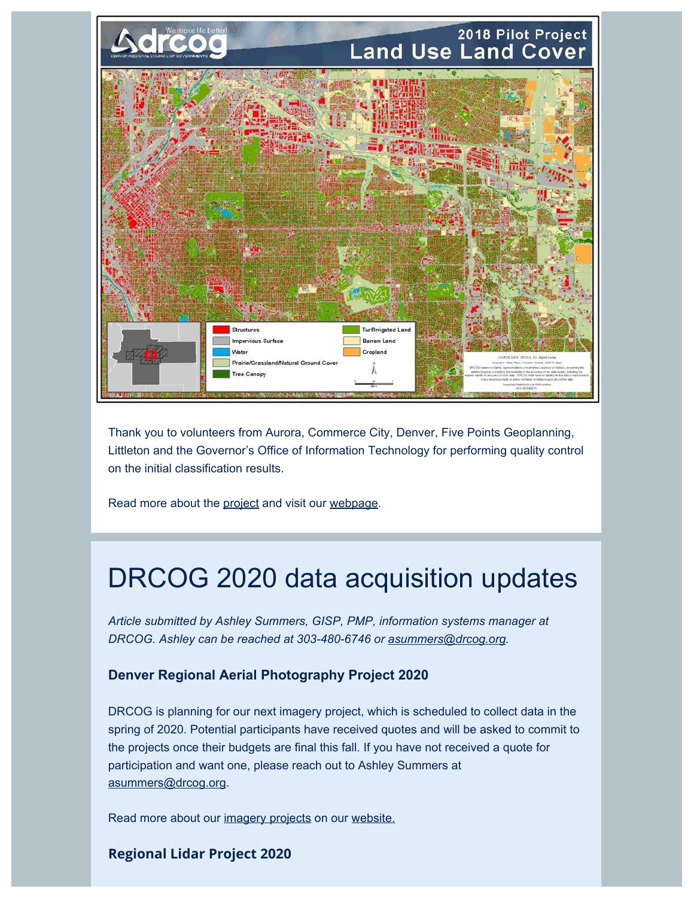

Thank you to volunteers from Aurora, Commerce City, Denver, Five Points Geoplanning, Littleton and the Governor's Office of Information Technology for performing quality control on the initial classification results.

Read more about the [project](https://drcog.createsend1.com/t/d-l-pkddihl-l-z/) and visit our [webpage](https://drcog.createsend1.com/t/d-l-pkddihl-l-v/).

### DRCOG 2020 data acquisition updates

*Article submitted by Ashley Summers, GISP, PMP, information systems manager at DRCOG. Ashley can be reached at 303-480-6746 or [asummers@drcog.org](mailto:asummers@drcog.org).*

#### **Denver Regional Aerial Photography Project 2020**

DRCOG is planning for our next imagery project, which is scheduled to collect data in the spring of 2020. Potential participants have received quotes and will be asked to commit to the projects once their budgets are final this fall. If you have not received a quote for participation and want one, please reach out to Ashley Summers at [asummers@drcog.org.](mailto:asummers@drcog.org)

Read more about our [imagery projects](https://drcog.createsend1.com/t/d-l-pkddihl-l-e/) on our [website.](https://drcog.createsend1.com/t/d-l-pkddihl-l-s/)

#### **Regional Lidar Project 2020**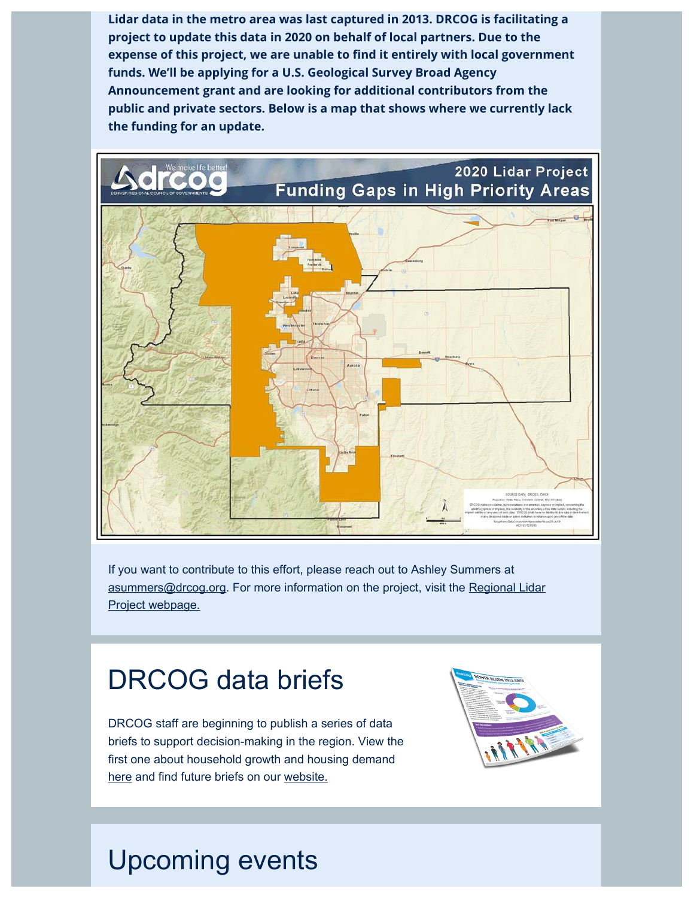**Lidar data in the metro area was last captured in 2013. DRCOG is facilitating a project to update this data in 2020 on behalf of local partners. Due to the expense of this project, we are unable to find it entirely with local government funds. We'll be applying for a U.S. Geological Survey Broad Agency Announcement grant and are looking for additional contributors from the public and private sectors. Below is a map that shows where we currently lack the funding for an update.**



If you want to contribute to this effort, please reach out to Ashley Summers at [asummers@drcog.org.](mailto:asummers@drcog.org) For more information on the project, visit the [Regional Lidar](https://drcog.createsend1.com/t/d-l-pkddihl-l-g/) [Project webpage.](https://drcog.createsend1.com/t/d-l-pkddihl-l-g/)

### DRCOG data briefs

DRCOG staff are beginning to publish a series of data briefs to support decision-making in the region. View the first one about household growth and housing demand [here](https://drcog.createsend1.com/t/d-l-pkddihl-l-w/) and find future briefs on our [website.](https://drcog.createsend1.com/t/d-l-pkddihl-l-yd/)



# Upcoming events